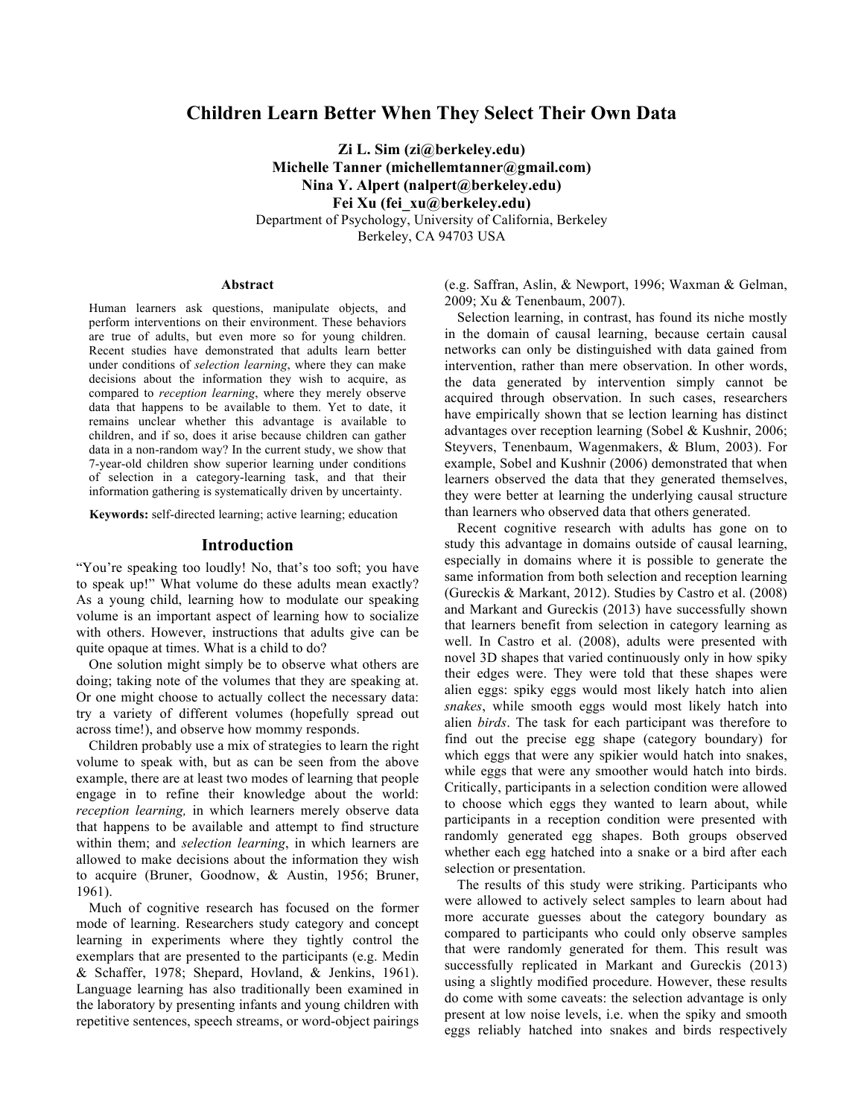# **Children Learn Better When They Select Their Own Data**

**Zi L. Sim (zi@berkeley.edu) Michelle Tanner (michellemtanner@gmail.com) Nina Y. Alpert (nalpert@berkeley.edu) Fei Xu (fei\_xu@berkeley.edu)** Department of Psychology, University of California, Berkeley Berkeley, CA 94703 USA

#### **Abstract**

Human learners ask questions, manipulate objects, and perform interventions on their environment. These behaviors are true of adults, but even more so for young children. Recent studies have demonstrated that adults learn better under conditions of *selection learning*, where they can make decisions about the information they wish to acquire, as compared to *reception learning*, where they merely observe data that happens to be available to them. Yet to date, it remains unclear whether this advantage is available to children, and if so, does it arise because children can gather data in a non-random way? In the current study, we show that 7-year-old children show superior learning under conditions of selection in a category-learning task, and that their information gathering is systematically driven by uncertainty.

**Keywords:** self-directed learning; active learning; education

#### **Introduction**

"You're speaking too loudly! No, that's too soft; you have to speak up!" What volume do these adults mean exactly? As a young child, learning how to modulate our speaking volume is an important aspect of learning how to socialize with others. However, instructions that adults give can be quite opaque at times. What is a child to do?

One solution might simply be to observe what others are doing; taking note of the volumes that they are speaking at. Or one might choose to actually collect the necessary data: try a variety of different volumes (hopefully spread out across time!), and observe how mommy responds.

Children probably use a mix of strategies to learn the right volume to speak with, but as can be seen from the above example, there are at least two modes of learning that people engage in to refine their knowledge about the world: *reception learning,* in which learners merely observe data that happens to be available and attempt to find structure within them; and *selection learning*, in which learners are allowed to make decisions about the information they wish to acquire (Bruner, Goodnow, & Austin, 1956; Bruner, 1961).

Much of cognitive research has focused on the former mode of learning. Researchers study category and concept learning in experiments where they tightly control the exemplars that are presented to the participants (e.g. Medin & Schaffer, 1978; Shepard, Hovland, & Jenkins, 1961). Language learning has also traditionally been examined in the laboratory by presenting infants and young children with repetitive sentences, speech streams, or word-object pairings (e.g. Saffran, Aslin, & Newport, 1996; Waxman & Gelman, 2009; Xu & Tenenbaum, 2007).

Selection learning, in contrast, has found its niche mostly in the domain of causal learning, because certain causal networks can only be distinguished with data gained from intervention, rather than mere observation. In other words, the data generated by intervention simply cannot be acquired through observation. In such cases, researchers have empirically shown that se lection learning has distinct advantages over reception learning (Sobel & Kushnir, 2006; Steyvers, Tenenbaum, Wagenmakers, & Blum, 2003). For example, Sobel and Kushnir (2006) demonstrated that when learners observed the data that they generated themselves, they were better at learning the underlying causal structure than learners who observed data that others generated.

Recent cognitive research with adults has gone on to study this advantage in domains outside of causal learning, especially in domains where it is possible to generate the same information from both selection and reception learning (Gureckis & Markant, 2012). Studies by Castro et al. (2008) and Markant and Gureckis (2013) have successfully shown that learners benefit from selection in category learning as well. In Castro et al. (2008), adults were presented with novel 3D shapes that varied continuously only in how spiky their edges were. They were told that these shapes were alien eggs: spiky eggs would most likely hatch into alien *snakes*, while smooth eggs would most likely hatch into alien *birds*. The task for each participant was therefore to find out the precise egg shape (category boundary) for which eggs that were any spikier would hatch into snakes, while eggs that were any smoother would hatch into birds. Critically, participants in a selection condition were allowed to choose which eggs they wanted to learn about, while participants in a reception condition were presented with randomly generated egg shapes. Both groups observed whether each egg hatched into a snake or a bird after each selection or presentation.

The results of this study were striking. Participants who were allowed to actively select samples to learn about had more accurate guesses about the category boundary as compared to participants who could only observe samples that were randomly generated for them. This result was successfully replicated in Markant and Gureckis (2013) using a slightly modified procedure. However, these results do come with some caveats: the selection advantage is only present at low noise levels, i.e. when the spiky and smooth eggs reliably hatched into snakes and birds respectively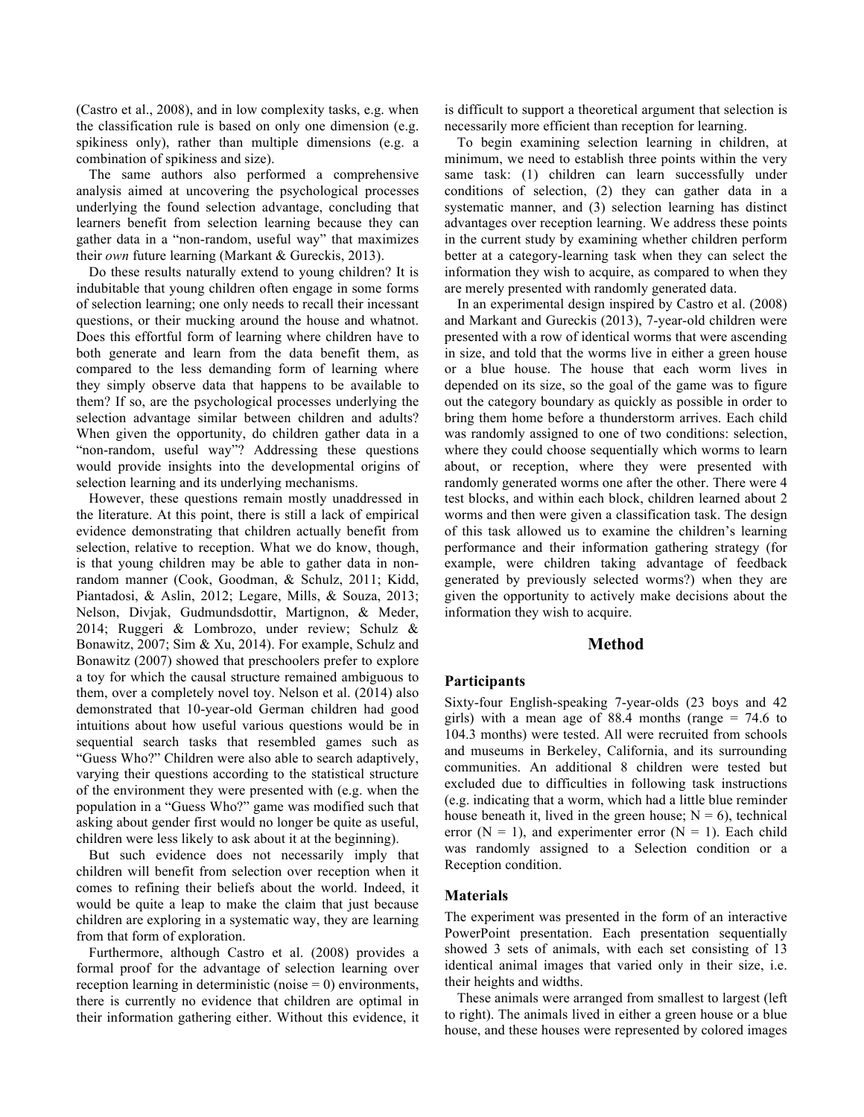(Castro et al., 2008), and in low complexity tasks, e.g. when the classification rule is based on only one dimension (e.g. spikiness only), rather than multiple dimensions (e.g. a combination of spikiness and size).

The same authors also performed a comprehensive analysis aimed at uncovering the psychological processes underlying the found selection advantage, concluding that learners benefit from selection learning because they can gather data in a "non-random, useful way" that maximizes their *own* future learning (Markant & Gureckis, 2013).

Do these results naturally extend to young children? It is indubitable that young children often engage in some forms of selection learning; one only needs to recall their incessant questions, or their mucking around the house and whatnot. Does this effortful form of learning where children have to both generate and learn from the data benefit them, as compared to the less demanding form of learning where they simply observe data that happens to be available to them? If so, are the psychological processes underlying the selection advantage similar between children and adults? When given the opportunity, do children gather data in a "non-random, useful way"? Addressing these questions would provide insights into the developmental origins of selection learning and its underlying mechanisms.

However, these questions remain mostly unaddressed in the literature. At this point, there is still a lack of empirical evidence demonstrating that children actually benefit from selection, relative to reception. What we do know, though, is that young children may be able to gather data in nonrandom manner (Cook, Goodman, & Schulz, 2011; Kidd, Piantadosi, & Aslin, 2012; Legare, Mills, & Souza, 2013; Nelson, Divjak, Gudmundsdottir, Martignon, & Meder, 2014; Ruggeri & Lombrozo, under review; Schulz & Bonawitz, 2007; Sim & Xu, 2014). For example, Schulz and Bonawitz (2007) showed that preschoolers prefer to explore a toy for which the causal structure remained ambiguous to them, over a completely novel toy. Nelson et al. (2014) also demonstrated that 10-year-old German children had good intuitions about how useful various questions would be in sequential search tasks that resembled games such as "Guess Who?" Children were also able to search adaptively, varying their questions according to the statistical structure of the environment they were presented with (e.g. when the population in a "Guess Who?" game was modified such that asking about gender first would no longer be quite as useful, children were less likely to ask about it at the beginning).

But such evidence does not necessarily imply that children will benefit from selection over reception when it comes to refining their beliefs about the world. Indeed, it would be quite a leap to make the claim that just because children are exploring in a systematic way, they are learning from that form of exploration.

Furthermore, although Castro et al. (2008) provides a formal proof for the advantage of selection learning over reception learning in deterministic (noise  $= 0$ ) environments, there is currently no evidence that children are optimal in their information gathering either. Without this evidence, it is difficult to support a theoretical argument that selection is necessarily more efficient than reception for learning.

To begin examining selection learning in children, at minimum, we need to establish three points within the very same task: (1) children can learn successfully under conditions of selection, (2) they can gather data in a systematic manner, and (3) selection learning has distinct advantages over reception learning. We address these points in the current study by examining whether children perform better at a category-learning task when they can select the information they wish to acquire, as compared to when they are merely presented with randomly generated data.

In an experimental design inspired by Castro et al. (2008) and Markant and Gureckis (2013), 7-year-old children were presented with a row of identical worms that were ascending in size, and told that the worms live in either a green house or a blue house. The house that each worm lives in depended on its size, so the goal of the game was to figure out the category boundary as quickly as possible in order to bring them home before a thunderstorm arrives. Each child was randomly assigned to one of two conditions: selection, where they could choose sequentially which worms to learn about, or reception, where they were presented with randomly generated worms one after the other. There were 4 test blocks, and within each block, children learned about 2 worms and then were given a classification task. The design of this task allowed us to examine the children's learning performance and their information gathering strategy (for example, were children taking advantage of feedback generated by previously selected worms?) when they are given the opportunity to actively make decisions about the information they wish to acquire.

### **Method**

#### **Participants**

Sixty-four English-speaking 7-year-olds (23 boys and 42 girls) with a mean age of 88.4 months (range  $= 74.6$  to 104.3 months) were tested. All were recruited from schools and museums in Berkeley, California, and its surrounding communities. An additional 8 children were tested but excluded due to difficulties in following task instructions (e.g. indicating that a worm, which had a little blue reminder house beneath it, lived in the green house;  $N = 6$ ), technical error  $(N = 1)$ , and experimenter error  $(N = 1)$ . Each child was randomly assigned to a Selection condition or a Reception condition.

### **Materials**

The experiment was presented in the form of an interactive PowerPoint presentation. Each presentation sequentially showed 3 sets of animals, with each set consisting of 13 identical animal images that varied only in their size, i.e. their heights and widths.

These animals were arranged from smallest to largest (left to right). The animals lived in either a green house or a blue house, and these houses were represented by colored images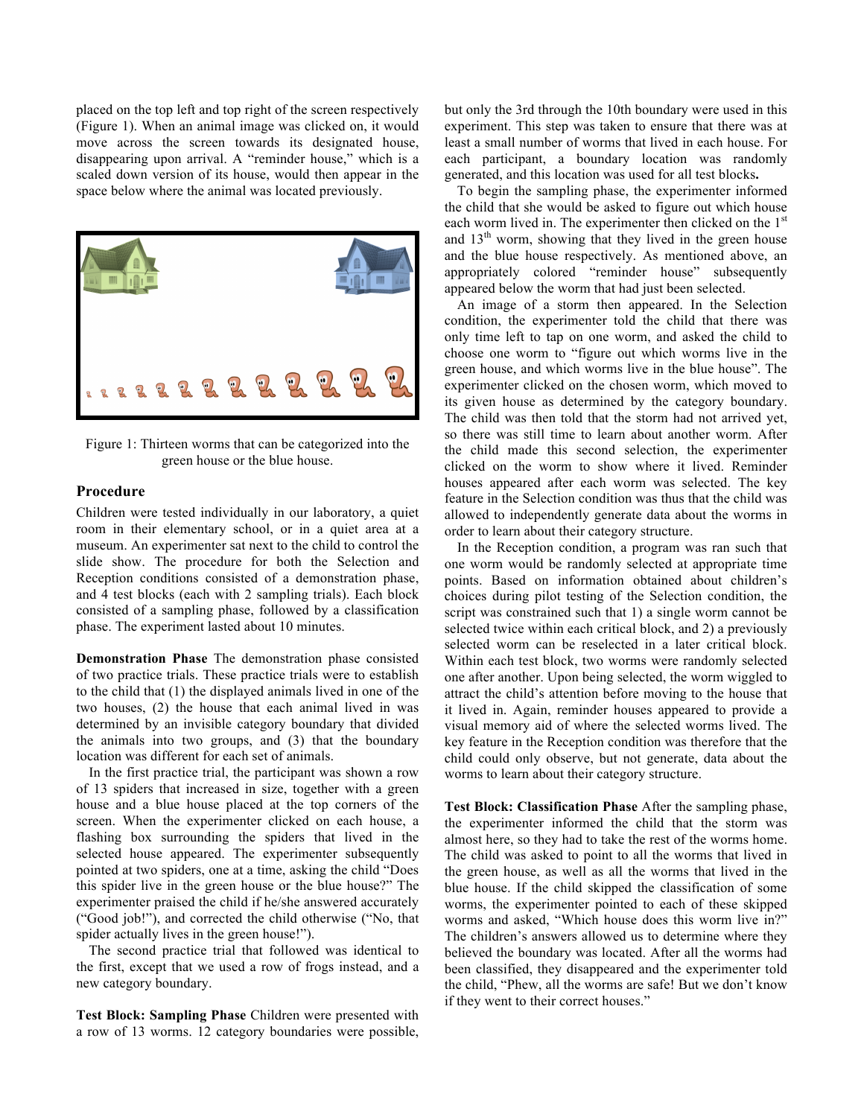placed on the top left and top right of the screen respectively (Figure 1). When an animal image was clicked on, it would move across the screen towards its designated house, disappearing upon arrival. A "reminder house," which is a scaled down version of its house, would then appear in the space below where the animal was located previously.



Figure 1: Thirteen worms that can be categorized into the green house or the blue house.

### **Procedure**

Children were tested individually in our laboratory, a quiet room in their elementary school, or in a quiet area at a museum. An experimenter sat next to the child to control the slide show. The procedure for both the Selection and Reception conditions consisted of a demonstration phase, and 4 test blocks (each with 2 sampling trials). Each block consisted of a sampling phase, followed by a classification phase. The experiment lasted about 10 minutes.

**Demonstration Phase** The demonstration phase consisted of two practice trials. These practice trials were to establish to the child that (1) the displayed animals lived in one of the two houses, (2) the house that each animal lived in was determined by an invisible category boundary that divided the animals into two groups, and (3) that the boundary location was different for each set of animals.

In the first practice trial, the participant was shown a row of 13 spiders that increased in size, together with a green house and a blue house placed at the top corners of the screen. When the experimenter clicked on each house, a flashing box surrounding the spiders that lived in the selected house appeared. The experimenter subsequently pointed at two spiders, one at a time, asking the child "Does this spider live in the green house or the blue house?" The experimenter praised the child if he/she answered accurately ("Good job!"), and corrected the child otherwise ("No, that spider actually lives in the green house!").

The second practice trial that followed was identical to the first, except that we used a row of frogs instead, and a new category boundary.

**Test Block: Sampling Phase** Children were presented with a row of 13 worms. 12 category boundaries were possible, but only the 3rd through the 10th boundary were used in this experiment. This step was taken to ensure that there was at least a small number of worms that lived in each house. For each participant, a boundary location was randomly generated, and this location was used for all test blocks**.**

To begin the sampling phase, the experimenter informed the child that she would be asked to figure out which house each worm lived in. The experimenter then clicked on the 1<sup>st</sup> and  $13<sup>th</sup>$  worm, showing that they lived in the green house and the blue house respectively. As mentioned above, an appropriately colored "reminder house" subsequently appeared below the worm that had just been selected.

An image of a storm then appeared. In the Selection condition, the experimenter told the child that there was only time left to tap on one worm, and asked the child to choose one worm to "figure out which worms live in the green house, and which worms live in the blue house". The experimenter clicked on the chosen worm, which moved to its given house as determined by the category boundary. The child was then told that the storm had not arrived yet, so there was still time to learn about another worm. After the child made this second selection, the experimenter clicked on the worm to show where it lived. Reminder houses appeared after each worm was selected. The key feature in the Selection condition was thus that the child was allowed to independently generate data about the worms in order to learn about their category structure.

In the Reception condition, a program was ran such that one worm would be randomly selected at appropriate time points. Based on information obtained about children's choices during pilot testing of the Selection condition, the script was constrained such that 1) a single worm cannot be selected twice within each critical block, and 2) a previously selected worm can be reselected in a later critical block. Within each test block, two worms were randomly selected one after another. Upon being selected, the worm wiggled to attract the child's attention before moving to the house that it lived in. Again, reminder houses appeared to provide a visual memory aid of where the selected worms lived. The key feature in the Reception condition was therefore that the child could only observe, but not generate, data about the worms to learn about their category structure.

**Test Block: Classification Phase** After the sampling phase, the experimenter informed the child that the storm was almost here, so they had to take the rest of the worms home. The child was asked to point to all the worms that lived in the green house, as well as all the worms that lived in the blue house. If the child skipped the classification of some worms, the experimenter pointed to each of these skipped worms and asked, "Which house does this worm live in?" The children's answers allowed us to determine where they believed the boundary was located. After all the worms had been classified, they disappeared and the experimenter told the child, "Phew, all the worms are safe! But we don't know if they went to their correct houses."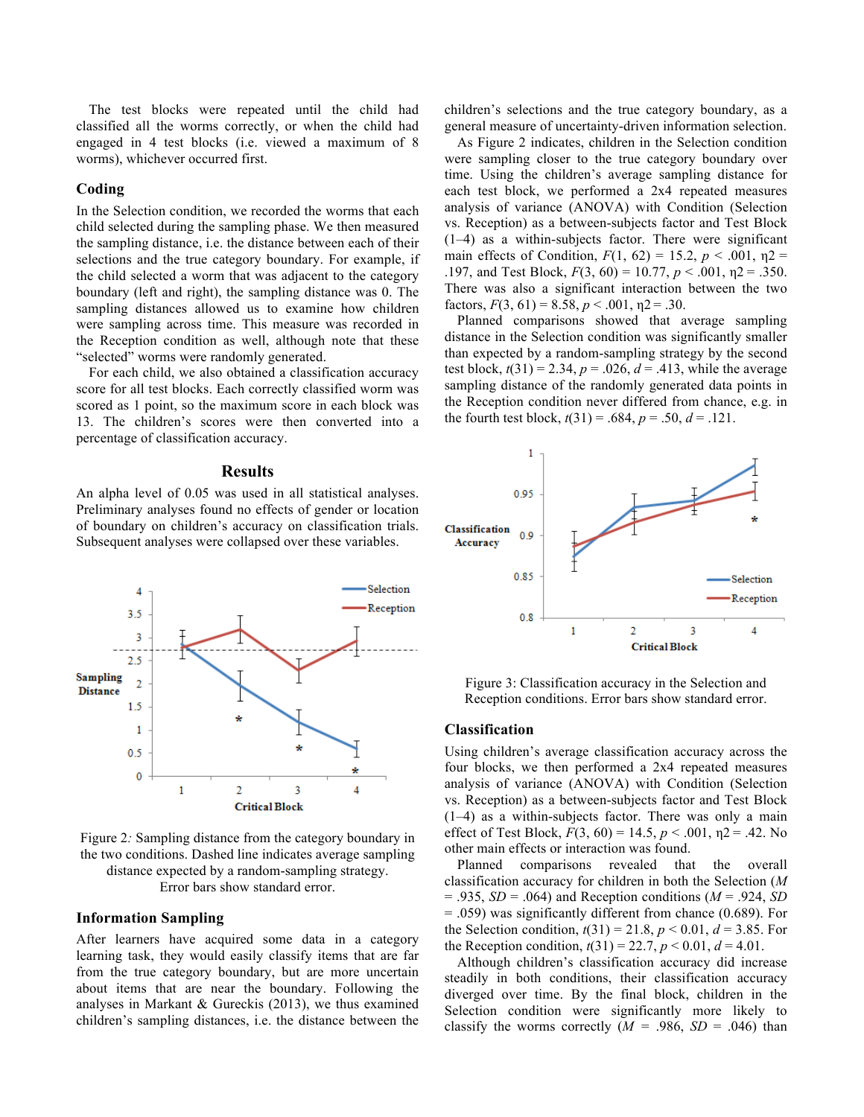The test blocks were repeated until the child had classified all the worms correctly, or when the child had engaged in 4 test blocks (i.e. viewed a maximum of 8 worms), whichever occurred first.

#### **Coding**

In the Selection condition, we recorded the worms that each child selected during the sampling phase. We then measured the sampling distance, i.e. the distance between each of their selections and the true category boundary. For example, if the child selected a worm that was adjacent to the category boundary (left and right), the sampling distance was 0. The sampling distances allowed us to examine how children were sampling across time. This measure was recorded in the Reception condition as well, although note that these "selected" worms were randomly generated.

For each child, we also obtained a classification accuracy score for all test blocks. Each correctly classified worm was scored as 1 point, so the maximum score in each block was 13. The children's scores were then converted into a percentage of classification accuracy.

#### **Results**

An alpha level of 0.05 was used in all statistical analyses. Preliminary analyses found no effects of gender or location of boundary on children's accuracy on classification trials. Subsequent analyses were collapsed over these variables.



As Figure 2 indicates, children in the Selection condition were sampling closer to the true category boundary over time. Using the children's average sampling distance for each test block, we performed a 2x4 repeated measures analysis of variance (ANOVA) with Condition (Selection vs. Reception) as a between-subjects factor and Test Block (1–4) as a within-subjects factor. There were significant main effects of Condition,  $F(1, 62) = 15.2$ ,  $p < .001$ ,  $p2 =$ .197, and Test Block, *F*(3, 60) = 10.77, *p* < .001, η2 = .350. There was also a significant interaction between the two factors,  $F(3, 61) = 8.58$ ,  $p < .001$ ,  $p = .30$ .

Planned comparisons showed that average sampling distance in the Selection condition was significantly smaller than expected by a random-sampling strategy by the second test block,  $t(31) = 2.34$ ,  $p = .026$ ,  $d = .413$ , while the average sampling distance of the randomly generated data points in the Reception condition never differed from chance, e.g. in the fourth test block,  $t(31) = .684$ ,  $p = .50$ ,  $d = .121$ .





Figure 2*:* Sampling distance from the category boundary in the two conditions. Dashed line indicates average sampling distance expected by a random-sampling strategy. Error bars show standard error.

#### **Information Sampling**

After learners have acquired some data in a category learning task, they would easily classify items that are far from the true category boundary, but are more uncertain about items that are near the boundary. Following the analyses in Markant & Gureckis (2013), we thus examined children's sampling distances, i.e. the distance between the

Figure 3: Classification accuracy in the Selection and Reception conditions. Error bars show standard error.

### **Classification**

Using children's average classification accuracy across the four blocks, we then performed a 2x4 repeated measures analysis of variance (ANOVA) with Condition (Selection vs. Reception) as a between-subjects factor and Test Block (1–4) as a within-subjects factor. There was only a main effect of Test Block,  $F(3, 60) = 14.5$ ,  $p < .001$ ,  $p = .42$ . No other main effects or interaction was found.

Planned comparisons revealed that the overall classification accuracy for children in both the Selection (*M*  $= .935, SD = .064$  and Reception conditions ( $M = .924, SD$ = .059) was significantly different from chance (0.689). For the Selection condition,  $t(31) = 21.8$ ,  $p < 0.01$ ,  $d = 3.85$ . For the Reception condition,  $t(31) = 22.7$ ,  $p < 0.01$ ,  $d = 4.01$ .

Although children's classification accuracy did increase steadily in both conditions, their classification accuracy diverged over time. By the final block, children in the Selection condition were significantly more likely to classify the worms correctly  $(M = .986, SD = .046)$  than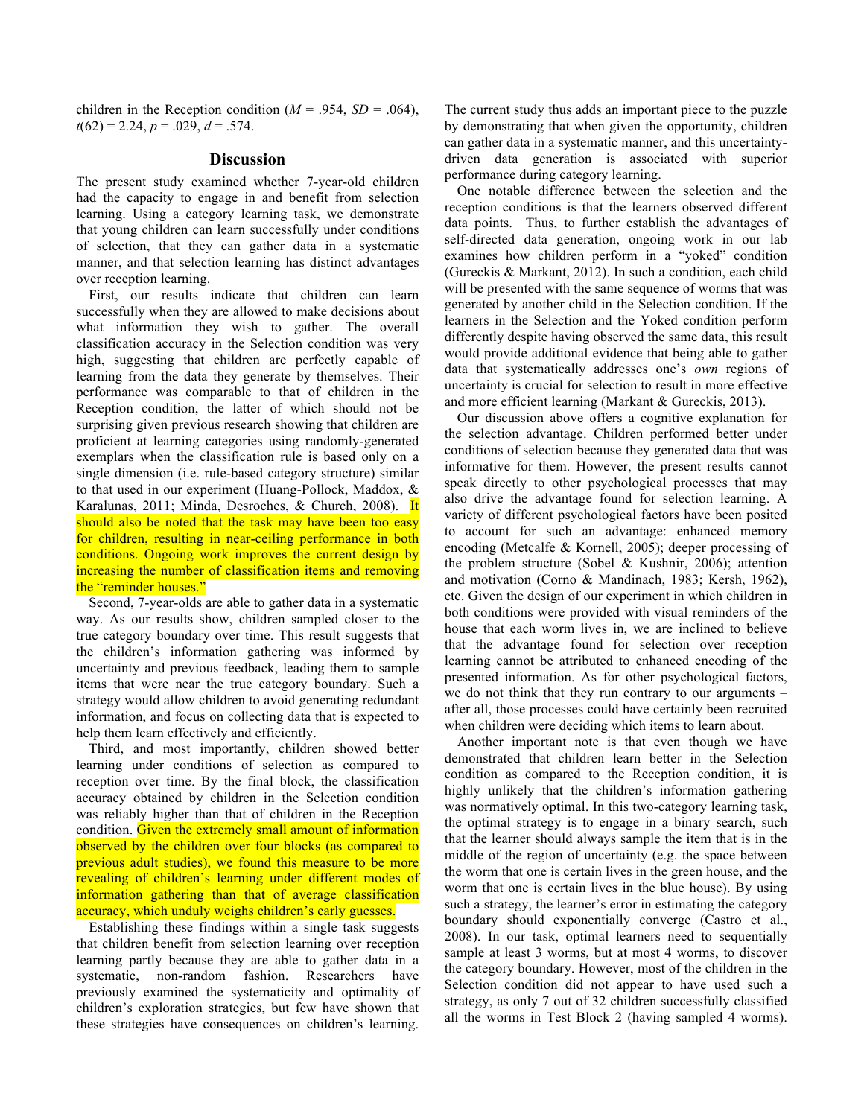children in the Reception condition ( $M = .954$ ,  $SD = .064$ ),  $t(62) = 2.24$ ,  $p = .029$ ,  $d = .574$ .

#### **Discussion**

The present study examined whether 7-year-old children had the capacity to engage in and benefit from selection learning. Using a category learning task, we demonstrate that young children can learn successfully under conditions of selection, that they can gather data in a systematic manner, and that selection learning has distinct advantages over reception learning.

First, our results indicate that children can learn successfully when they are allowed to make decisions about what information they wish to gather. The overall classification accuracy in the Selection condition was very high, suggesting that children are perfectly capable of learning from the data they generate by themselves. Their performance was comparable to that of children in the Reception condition, the latter of which should not be surprising given previous research showing that children are proficient at learning categories using randomly-generated exemplars when the classification rule is based only on a single dimension (i.e. rule-based category structure) similar to that used in our experiment (Huang-Pollock, Maddox, & Karalunas, 2011; Minda, Desroches, & Church, 2008). It should also be noted that the task may have been too easy for children, resulting in near-ceiling performance in both conditions. Ongoing work improves the current design by increasing the number of classification items and removing the "reminder houses."

Second, 7-year-olds are able to gather data in a systematic way. As our results show, children sampled closer to the true category boundary over time. This result suggests that the children's information gathering was informed by uncertainty and previous feedback, leading them to sample items that were near the true category boundary. Such a strategy would allow children to avoid generating redundant information, and focus on collecting data that is expected to help them learn effectively and efficiently.

Third, and most importantly, children showed better learning under conditions of selection as compared to reception over time. By the final block, the classification accuracy obtained by children in the Selection condition was reliably higher than that of children in the Reception condition. Given the extremely small amount of information observed by the children over four blocks (as compared to previous adult studies), we found this measure to be more revealing of children's learning under different modes of information gathering than that of average classification accuracy, which unduly weighs children's early guesses.

Establishing these findings within a single task suggests that children benefit from selection learning over reception learning partly because they are able to gather data in a systematic, non-random fashion. Researchers have previously examined the systematicity and optimality of children's exploration strategies, but few have shown that these strategies have consequences on children's learning.

The current study thus adds an important piece to the puzzle by demonstrating that when given the opportunity, children can gather data in a systematic manner, and this uncertaintydriven data generation is associated with superior performance during category learning.

One notable difference between the selection and the reception conditions is that the learners observed different data points. Thus, to further establish the advantages of self-directed data generation, ongoing work in our lab examines how children perform in a "yoked" condition (Gureckis & Markant, 2012). In such a condition, each child will be presented with the same sequence of worms that was generated by another child in the Selection condition. If the learners in the Selection and the Yoked condition perform differently despite having observed the same data, this result would provide additional evidence that being able to gather data that systematically addresses one's *own* regions of uncertainty is crucial for selection to result in more effective and more efficient learning (Markant & Gureckis, 2013).

Our discussion above offers a cognitive explanation for the selection advantage. Children performed better under conditions of selection because they generated data that was informative for them. However, the present results cannot speak directly to other psychological processes that may also drive the advantage found for selection learning. A variety of different psychological factors have been posited to account for such an advantage: enhanced memory encoding (Metcalfe & Kornell, 2005); deeper processing of the problem structure (Sobel & Kushnir, 2006); attention and motivation (Corno & Mandinach, 1983; Kersh, 1962), etc. Given the design of our experiment in which children in both conditions were provided with visual reminders of the house that each worm lives in, we are inclined to believe that the advantage found for selection over reception learning cannot be attributed to enhanced encoding of the presented information. As for other psychological factors, we do not think that they run contrary to our arguments – after all, those processes could have certainly been recruited when children were deciding which items to learn about.

Another important note is that even though we have demonstrated that children learn better in the Selection condition as compared to the Reception condition, it is highly unlikely that the children's information gathering was normatively optimal. In this two-category learning task, the optimal strategy is to engage in a binary search, such that the learner should always sample the item that is in the middle of the region of uncertainty (e.g. the space between the worm that one is certain lives in the green house, and the worm that one is certain lives in the blue house). By using such a strategy, the learner's error in estimating the category boundary should exponentially converge (Castro et al., 2008). In our task, optimal learners need to sequentially sample at least 3 worms, but at most 4 worms, to discover the category boundary. However, most of the children in the Selection condition did not appear to have used such a strategy, as only 7 out of 32 children successfully classified all the worms in Test Block 2 (having sampled 4 worms).